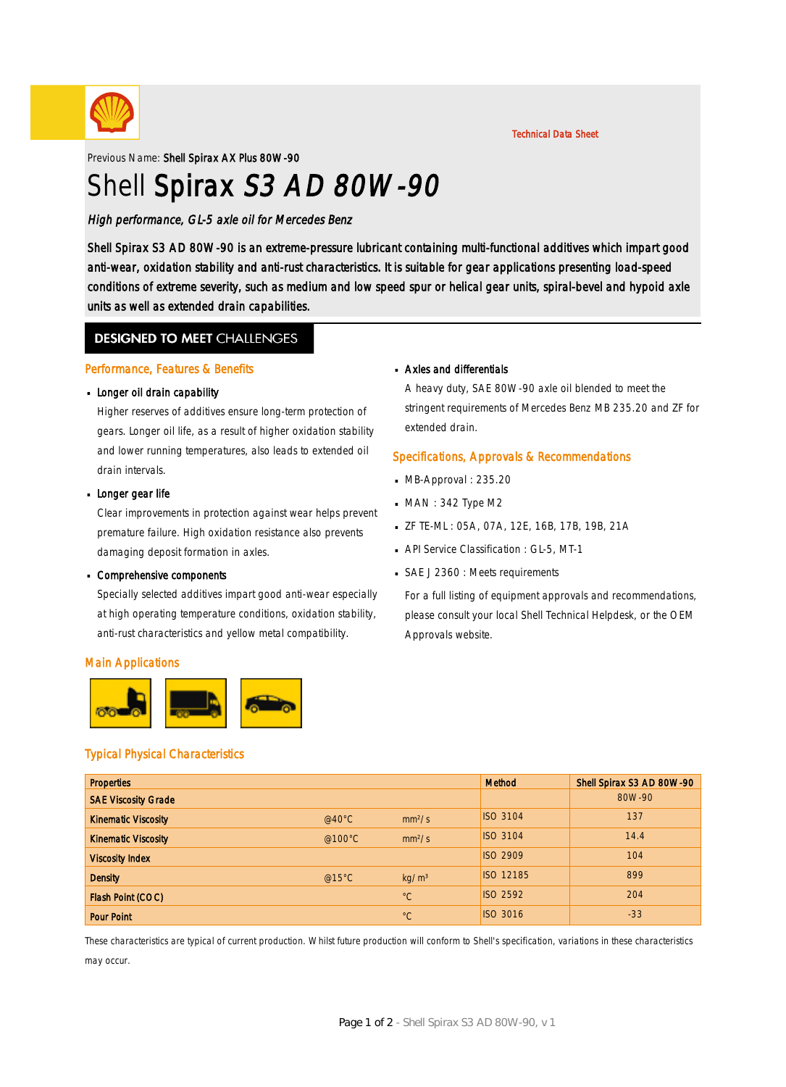

#### Technical Data Sheet

Previous Name: Shell Spirax AX Plus 80W-90

# Shell Spirax S3 AD 80W-90

### High performance, GL-5 axle oil for Mercedes Benz

Shell Spirax S3 AD 80W-90 is an extreme-pressure lubricant containing multi-functional additives which impart good anti-wear, oxidation stability and anti-rust characteristics. It is suitable for gear applications presenting load-speed conditions of extreme severity, such as medium and low speed spur or helical gear units, spiral-bevel and hypoid axle units as well as extended drain capabilities.

### **DESIGNED TO MEET CHALLENGES**

#### Performance, Features & Benefits

## **Longer oil drain capability**

Higher reserves of additives ensure long-term protection of gears. Longer oil life, as a result of higher oxidation stability and lower running temperatures, also leads to extended oil drain intervals.

## **Longer gear life**

Clear improvements in protection against wear helps prevent premature failure. High oxidation resistance also prevents damaging deposit formation in axles.

## Comprehensive components ·

Specially selected additives impart good anti-wear especially at high operating temperature conditions, oxidation stability, anti-rust characteristics and yellow metal compatibility.

#### Main Applications



## Typical Physical Characteristics

### Properties Method Shell Spirax S3 AD 80W-90 SAE Viscosity Grade 80W-90 **Kinematic Viscosity Construction Construction Construction Construction Construction Construction Construction Construction Construction Construction Construction Construction Construction Construction Construction Con** Kinematic Viscosity **Contract Contract Contract Contract Contract Contract Contract Contract Contract Contract Contract Contract Contract Contract Contract Contract Contract Contract Contract Contract Contract Contract Con** Viscosity Index ISO 2909 104 Density @15°C kg/m³ ISO 12185 899 Flash Point (COC) **Flash Point (COC) Flash Point (COC) Provides C C** ISO 2592 204 Pour Point °C ISO 3016 -33

These characteristics are typical of current production. Whilst future production will conform to Shell's specification, variations in these characteristics may occur.

## Axles and differentials ·

A heavy duty, SAE 80W-90 axle oil blended to meet the stringent requirements of Mercedes Benz MB 235.20 and ZF for extended drain.

#### Specifications, Approvals & Recommendations

- $-MB$ -Approval : 235.20
- $MAN: 342$  Type M2
- ZF TE-ML : 05A, 07A, 12E, 16B, 17B, 19B, 21A ·
- **API Service Classification : GL-5, MT-1**
- SAE J 2360 : Meets requirements

For a full listing of equipment approvals and recommendations, please consult your local Shell Technical Helpdesk, or the OEM Approvals website.